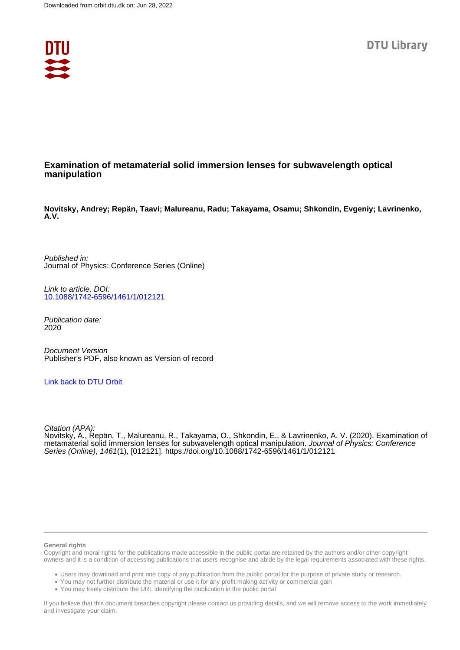

## **Examination of metamaterial solid immersion lenses for subwavelength optical manipulation**

**Novitsky, Andrey; Repän, Taavi; Malureanu, Radu; Takayama, Osamu; Shkondin, Evgeniy; Lavrinenko, A.V.**

Published in: Journal of Physics: Conference Series (Online)

Link to article, DOI: [10.1088/1742-6596/1461/1/012121](https://doi.org/10.1088/1742-6596/1461/1/012121)

Publication date: 2020

Document Version Publisher's PDF, also known as Version of record

#### [Link back to DTU Orbit](https://orbit.dtu.dk/en/publications/0e3e9276-dd0c-426c-a357-9538c00eafde)

Citation (APA):

Novitsky, A., Repän, T., Malureanu, R., Takayama, O., Shkondin, E., & Lavrinenko, A. V. (2020). Examination of metamaterial solid immersion lenses for subwavelength optical manipulation. Journal of Physics: Conference Series (Online), 1461(1), [012121]. <https://doi.org/10.1088/1742-6596/1461/1/012121>

#### **General rights**

Copyright and moral rights for the publications made accessible in the public portal are retained by the authors and/or other copyright owners and it is a condition of accessing publications that users recognise and abide by the legal requirements associated with these rights.

Users may download and print one copy of any publication from the public portal for the purpose of private study or research.

- You may not further distribute the material or use it for any profit-making activity or commercial gain
- You may freely distribute the URL identifying the publication in the public portal

If you believe that this document breaches copyright please contact us providing details, and we will remove access to the work immediately and investigate your claim.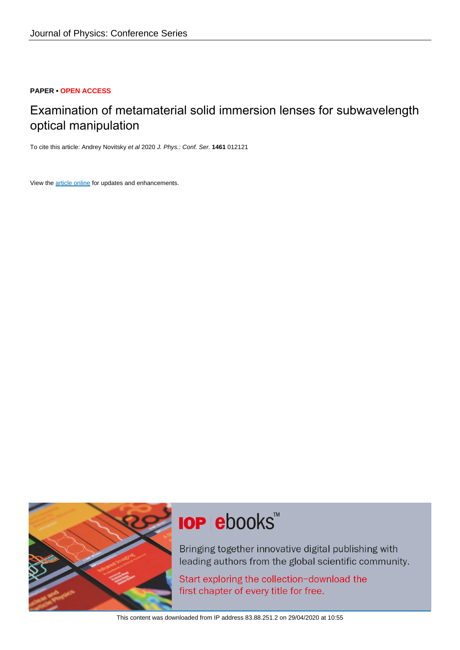## **PAPER • OPEN ACCESS**

## Examination of metamaterial solid immersion lenses for subwavelength optical manipulation

To cite this article: Andrey Novitsky et al 2020 J. Phys.: Conf. Ser. **1461** 012121

View the [article online](https://doi.org/10.1088/1742-6596/1461/1/012121) for updates and enhancements.



# **IOP ebooks**™

Bringing together innovative digital publishing with leading authors from the global scientific community.

Start exploring the collection-download the first chapter of every title for free.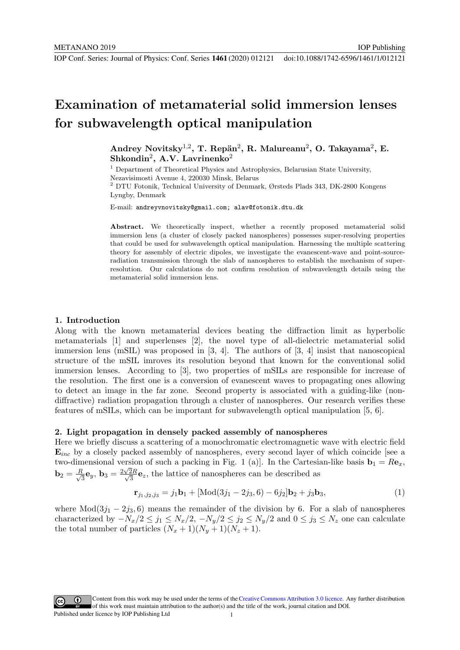# **Examination of metamaterial solid immersion lenses for subwavelength optical manipulation**

**Andrey Novitsky**1*,*2**, T. Rep¨an**2**, R. Malureanu**2**, O. Takayama**2**, E. Shkondin**2**, A.V. Lavrinenko**<sup>2</sup>

IOP Publishing

<sup>1</sup> Department of Theoretical Physics and Astrophysics, Belarusian State University, Nezavisimosti Avenue 4, 220030 Minsk, Belarus

<sup>2</sup> DTU Fotonik, Technical University of Denmark, Ørsteds Plads 343, DK-2800 Kongens Lyngby, Denmark

E-mail: andreyvnovitsky@gmail.com; alav@fotonik.dtu.dk

**Abstract.** We theoretically inspect, whether a recently proposed metamaterial solid immersion lens (a cluster of closely packed nanospheres) possesses super-resolving properties that could be used for subwavelength optical manipulation. Harnessing the multiple scattering theory for assembly of electric dipoles, we investigate the evanescent-wave and point-sourceradiation transmission through the slab of nanospheres to establish the mechanism of superresolution. Our calculations do not confirm resolution of subwavelength details using the metamaterial solid immersion lens.

#### **1. Introduction**

Along with the known metamaterial devices beating the diffraction limit as hyperbolic metamaterials [1] and superlenses [2], the novel type of all-dielectric metamaterial solid immersion lens (mSIL) was proposed in [3, 4]. The authors of [3, 4] insist that nanoscopical structure of the mSIL imroves its resolution beyond that known for the conventional solid immersion lenses. According to [3], two properties of mSILs are responsible for increase of the resolution. The first one is a conversion of evanescent waves to propagating ones allowing to detect an image in the far zone. Second property is associated with a guiding-like (nondiffractive) radiation propagation through a cluster of nanospheres. Our research verifies these features of mSILs, which can be important for subwavelength optical manipulation [5, 6].

#### **2. Light propagation in densely packed assembly of nanospheres**

Here we briefly discuss a scattering of a monochromatic electromagnetic wave with electric field **E***inc* by a closely packed assembly of nanospheres, every second layer of which coincide [see a two-dimensional version of such a packing in Fig. 1 (a)]. In the Cartesian-like basis  $\mathbf{b}_1 = R\mathbf{e}_x$ , **b**<sub>2</sub> =  $\frac{R}{\sqrt{3}}$ **e**<sub>*y*</sub>, **b**<sub>3</sub> =  $\frac{2\sqrt{3}}{\sqrt{3}}$  $\frac{\sqrt{2}R}{\sqrt{3}}$ **e**<sub>z</sub>, the lattice of nanospheres can be described as

$$
\mathbf{r}_{j_1,j_2,j_3} = j_1 \mathbf{b}_1 + [\text{Mod}(3j_1 - 2j_3, 6) - 6j_2] \mathbf{b}_2 + j_3 \mathbf{b}_3,\tag{1}
$$

where  $Mod(3j_1 - 2j_3, 6)$  means the remainder of the division by 6. For a slab of nanospheres characterized by  $-N_x/2 \le j_1 \le N_x/2$ ,  $-N_y/2 \le j_2 \le N_y/2$  and  $0 \le j_3 \le N_z$  one can calculate the total number of particles  $(N_x + 1)(N_y + 1)(N_z + 1)$ .

Content from this work may be used under the terms of theCreative Commons Attribution 3.0 licence. Any further distribution of this work must maintain attribution to the author(s) and the title of the work, journal citation and DOI. Published under licence by IOP Publishing Ltd 1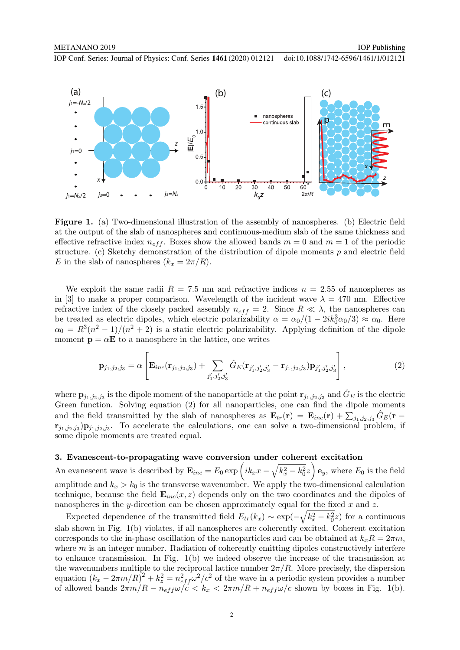IOP Conf. Series: Journal of Physics: Conf. Series **1461** (2020) 012121 doi:10.1088/1742-6596/1461/1/012121



**Figure 1.** (a) Two-dimensional illustration of the assembly of nanospheres. (b) Electric field at the output of the slab of nanospheres and continuous-medium slab of the same thickness and effective refractive index  $n_{eff}$ . Boxes show the allowed bands  $m = 0$  and  $m = 1$  of the periodic structure. (c) Sketchy demonstration of the distribution of dipole moments *p* and electric field *E* in the slab of nanospheres  $(k_x = 2\pi/R)$ .

We exploit the same radii  $R = 7.5$  nm and refractive indices  $n = 2.55$  of nanospheres as in [3] to make a proper comparison. Wavelength of the incident wave  $\lambda = 470$  nm. Effective refractive index of the closely packed assembly  $n_{eff} = 2$ . Since  $R \ll \lambda$ , the nanospheres can be treated as electric dipoles, which electric polarizability  $\alpha = \alpha_0/(1 - 2ik_0^3\alpha_0/3) \approx \alpha_0$ . Here  $\alpha_0 = R^3(n^2 - 1)/(n^2 + 2)$  is a static electric polarizability. Applying definition of the dipole moment  $\mathbf{p} = \alpha \mathbf{E}$  to a nanosphere in the lattice, one writes

$$
\mathbf{p}_{j_1,j_2,j_3} = \alpha \left[ \mathbf{E}_{inc}(\mathbf{r}_{j_1,j_2,j_3}) + \sum_{j'_1,j'_2,j'_3} \hat{G}_E(\mathbf{r}_{j'_1,j'_2,j'_3} - \mathbf{r}_{j_1,j_2,j_3}) \mathbf{p}_{j'_1,j'_2,j'_3} \right],
$$
(2)

where  $\mathbf{p}_{j_1,j_2,j_3}$  is the dipole moment of the nanoparticle at the point  $\mathbf{r}_{j_1,j_2,j_3}$  and  $\hat{G}_E$  is the electric Green function. Solving equation (2) for all nanoparticles, one can find the dipole moments and the field transmitted by the slab of nanospheres as  $\mathbf{E}_{tr}(\mathbf{r}) = \mathbf{E}_{inc}(\mathbf{r}) + \sum_{j_1,j_2,j_3} \hat{G}_E(\mathbf{r} - \hat{G}_E(\mathbf{r}))$  $\mathbf{r}_{j_1,j_2,j_3}(\mathbf{p}_{j_1,j_2,j_3})$ . To accelerate the calculations, one can solve a two-dimensional problem, if some dipole moments are treated equal.

#### **3. Evanescent-to-propagating wave conversion under coherent excitation**

An evanescent wave is described by  $\mathbf{E}_{inc} = E_0 \exp\left(ik_x x - \sqrt{k_x^2 - k_0^2}z\right) \mathbf{e}_y$ , where  $E_0$  is the field amplitude and  $k_x > k_0$  is the transverse wavenumber. We apply the two-dimensional calculation technique, because the field  $\mathbf{E}_{inc}(x, z)$  depends only on the two coordinates and the dipoles of nanospheres in the *y*-direction can be chosen approximately equal for the fixed *x* and *z*.

Expected dependence of the transmitted field  $E_{tr}(k_x) \sim \exp(-\sqrt{k_x^2 - k_0^2}z)$  for a continuous slab shown in Fig. 1(b) violates, if all nanospheres are coherently excited. Coherent excitation corresponds to the in-phase oscillation of the nanoparticles and can be obtained at  $k_x R = 2\pi m$ , where *m* is an integer number. Radiation of coherently emitting dipoles constructively interfere to enhance transmission. In Fig. 1(b) we indeed observe the increase of the transmission at the wavenumbers multiple to the reciprocal lattice number  $2\pi/R$ . More precisely, the dispersion equation  $(k_x - 2\pi m/R)^2 + k_z^2 = n_{eff}^2 \omega^2/c^2$  of the wave in a periodic system provides a number of allowed bands  $2\pi m/R - n_{eff}\omega/c < k_x < 2\pi m/R + n_{eff}\omega/c$  shown by boxes in Fig. 1(b).